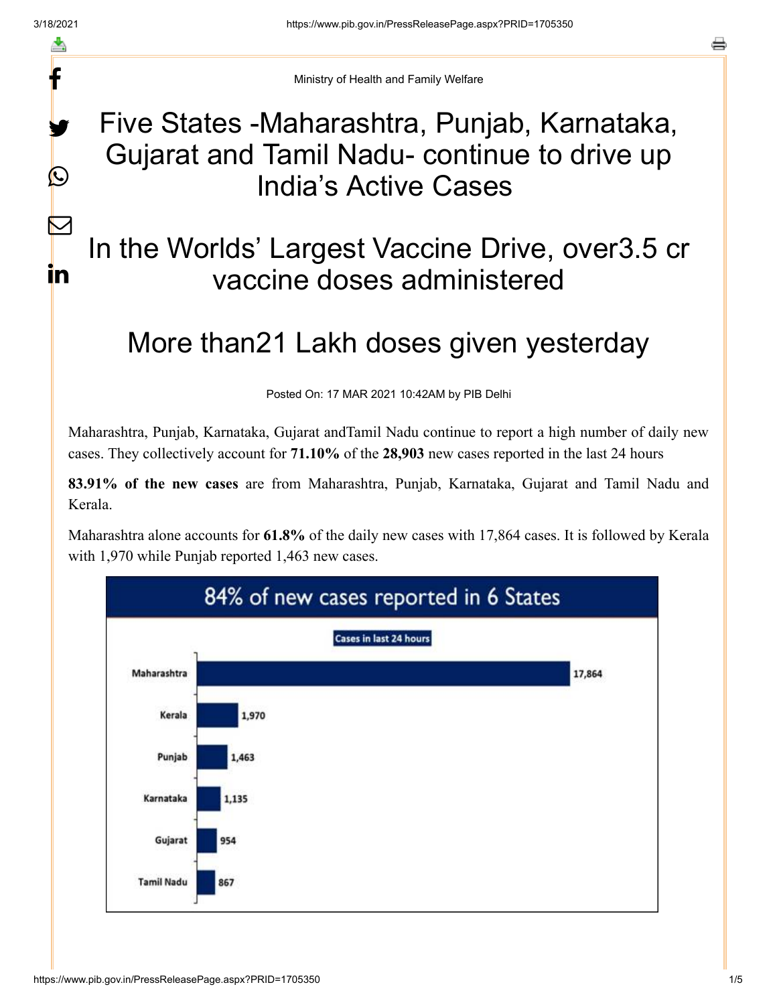f

y.

 $\bigcirc$ 

 $\sum$ 

in

a

Ministry of Health and Family Welfare

# Five States -Maharashtra, Punjab, Karnataka, Gujarat and Tamil Nadu- continue to drive up India's Active Cases

# In the Worlds' Largest Vaccine Drive, over3.5 cr vaccine doses administered

# More than21 Lakh doses given yesterday

Posted On: 17 MAR 2021 10:42AM by PIB Delhi

Maharashtra, Punjab, Karnataka, Gujarat andTamil Nadu continue to report a high number of daily new cases. They collectively account for **71.10%** of the **28,903** new cases reported in the last 24 hours

**83.91% of the new cases** are from Maharashtra, Punjab, Karnataka, Gujarat and Tamil Nadu and Kerala.

Maharashtra alone accounts for **61.8%** of the daily new cases with 17,864 cases. It is followed by Kerala with 1,970 while Punjab reported 1,463 new cases.

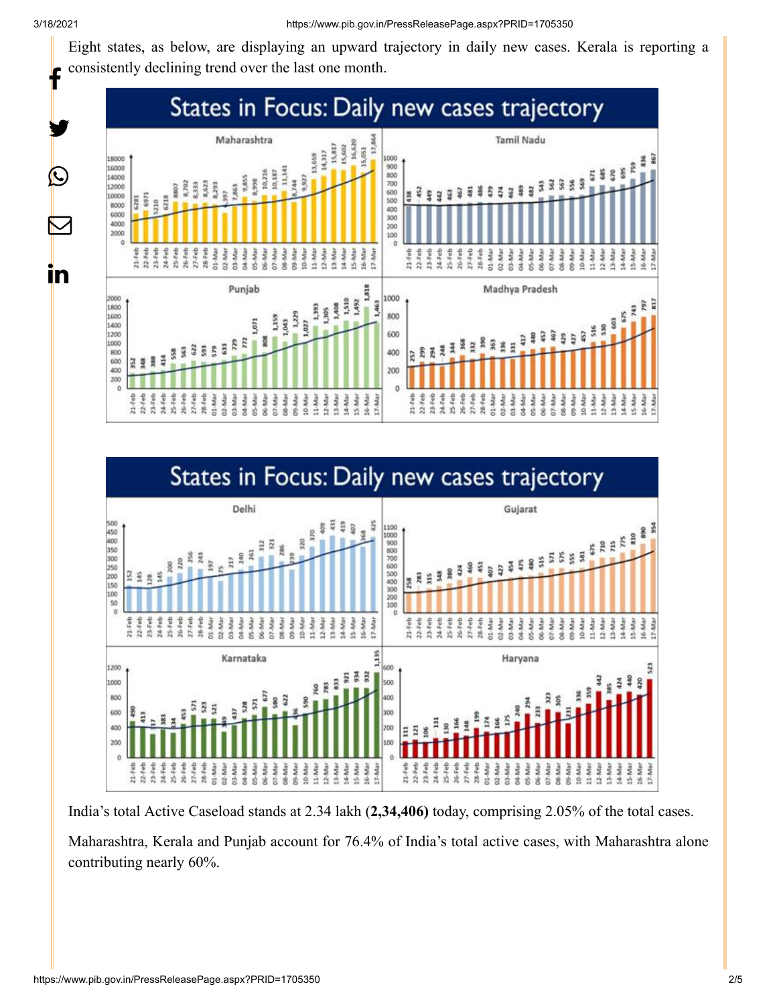y.

 $\bigcirc$ 

 $\bm{\nabla}$ 

in

Eight states, as below, are displaying an upward trajectory in daily new cases. Kerala is reporting a consistently declining trend over the last one month. f





India's total Active Caseload stands at 2.34 lakh (**2,34,406)** today, comprising 2.05% of the total cases.

Maharashtra, Kerala and Punjab account for 76.4% of India's total active cases, with Maharashtra alone contributing nearly 60%.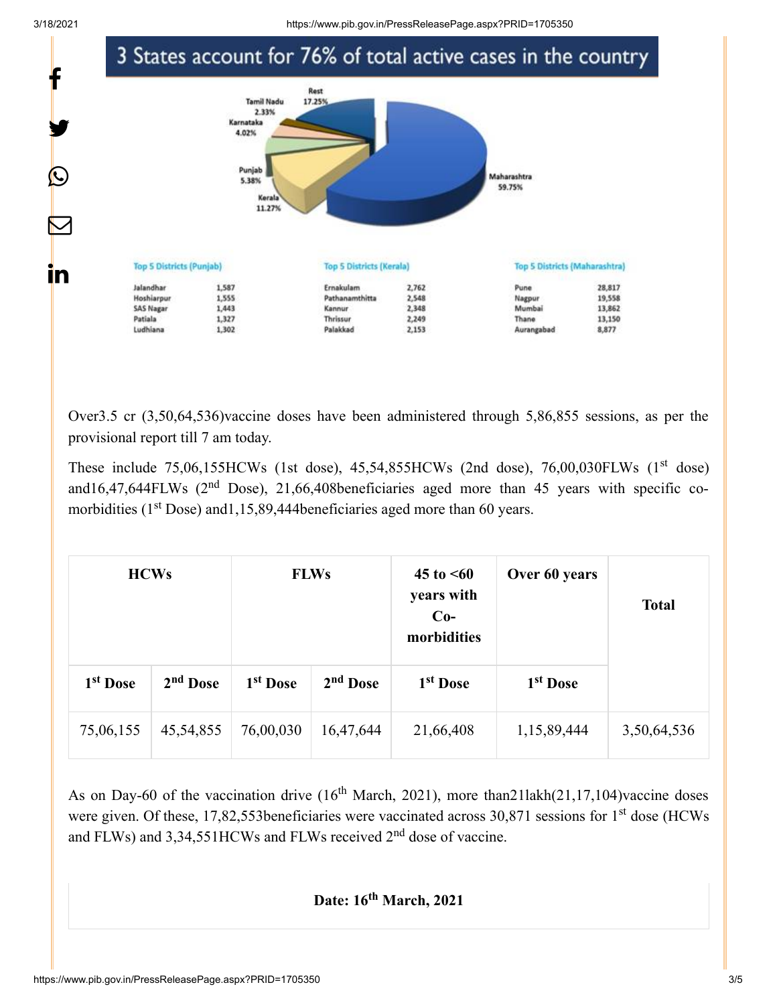

Over3.5 cr (3,50,64,536)vaccine doses have been administered through 5,86,855 sessions, as per the provisional report till 7 am today.

These include  $75,06,155$ HCWs (1st dose),  $45,54,855$ HCWs (2nd dose),  $76,00,030$ FLWs (1st dose) and16,47,644FLWs ( $2<sup>nd</sup>$  Dose), 21,66,408beneficiaries aged more than 45 years with specific comorbidities ( $1<sup>st</sup>$  Dose) and 1,15,89,444 beneficiaries aged more than 60 years.

| <b>HCWs</b>          |             | <b>FLWs</b>          |                      | $45 \text{ to } 50$<br>years with<br>$Co-$<br>morbidities | Over 60 years        | <b>Total</b> |
|----------------------|-------------|----------------------|----------------------|-----------------------------------------------------------|----------------------|--------------|
| 1 <sup>st</sup> Dose | $2nd$ Dose  | 1 <sup>st</sup> Dose | 2 <sup>nd</sup> Dose | 1 <sup>st</sup> Dose                                      | 1 <sup>st</sup> Dose |              |
| 75,06,155            | 45, 54, 855 | 76,00,030            | 16,47,644            | 21,66,408                                                 | 1,15,89,444          | 3,50,64,536  |

As on Day-60 of the vaccination drive  $(16<sup>th</sup> March, 2021)$ , more than 211 akh $(21, 17, 104)$  vaccine doses were given. Of these, 17,82,553beneficiaries were vaccinated across  $30,871$  sessions for 1<sup>st</sup> dose (HCWs and FLWs) and  $3,34,551$ HCWs and FLWs received  $2<sup>nd</sup>$  dose of vaccine.

#### Date: 16<sup>th</sup> March, 2021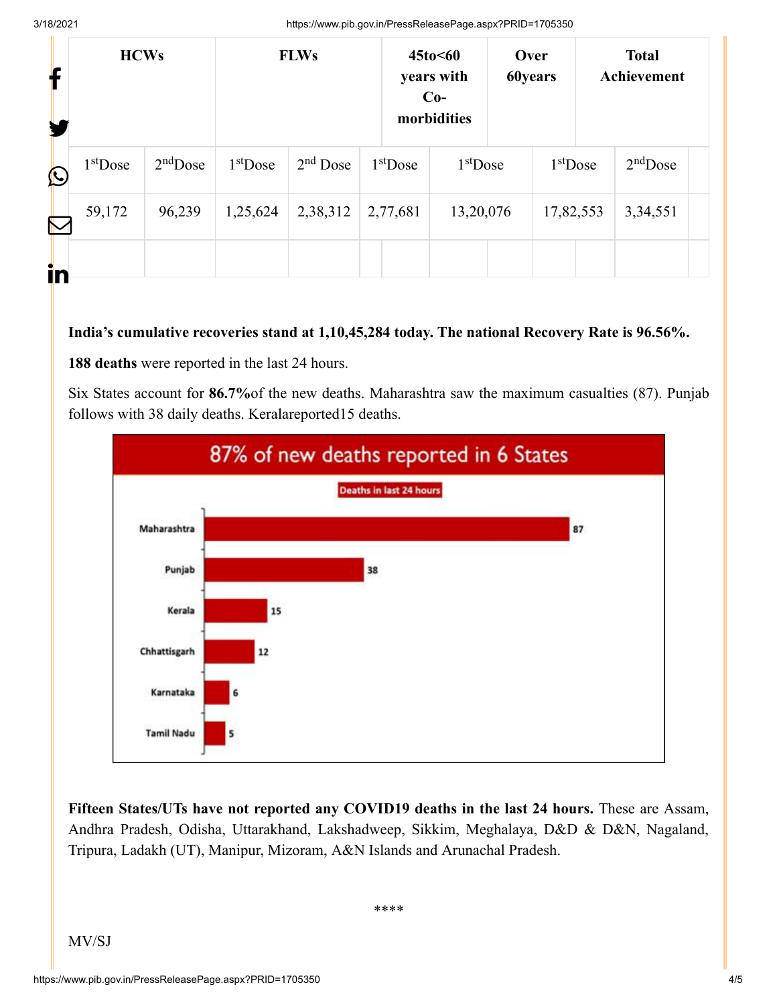3/18/2021 https://www.pib.gov.in/PressReleasePage.aspx?PRID=1705350

| T           | <b>HCWs</b> |            | <b>FLWs</b> |            | 45to<60<br>years with<br>$Co-$<br>morbidities |           | Over<br><b>60years</b> |           | <b>Total</b><br>Achievement |            |  |
|-------------|-------------|------------|-------------|------------|-----------------------------------------------|-----------|------------------------|-----------|-----------------------------|------------|--|
| $\mathbf C$ | $1st$ Dose  | $2nd$ Dose | $1st$ Dose  | $2nd$ Dose | $1st$ Dose                                    |           | $1st$ Dose             |           | $1st$ Dose                  | $2nd$ Dose |  |
| $\sum$      | 59,172      | 96,239     | 1,25,624    | 2,38,312   | 2,77,681                                      | 13,20,076 |                        | 17,82,553 |                             | 3,34,551   |  |
| in          |             |            |             |            |                                               |           |                        |           |                             |            |  |

#### **India's cumulative recoveries stand at 1,10,45,284 today. The national Recovery Rate is 96.56%.**

**188 deaths** were reported in the last 24 hours.

Six States account for **86.7%**of the new deaths. Maharashtra saw the maximum casualties (87). Punjab follows with 38 daily deaths. Keralareported15 deaths.



**Fifteen States/UTs have not reported any COVID19 deaths in the last 24 hours.** These are Assam, Andhra Pradesh, Odisha, Uttarakhand, Lakshadweep, Sikkim, Meghalaya, D&D & D&N, Nagaland, Tripura, Ladakh (UT), Manipur, Mizoram, A&N Islands and Arunachal Pradesh.

\*\*\*\*